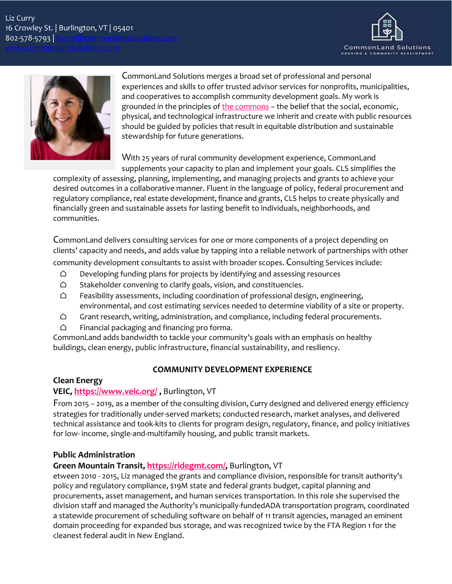



CommonLand Solutions merges a broad set of professional and personal experiences and skills to offer trusted advisor services for nonprofits, municipalities, and cooperatives to accomplish community development goals. My work is grounded in the principles of the [commons](https://www.onthecommons.org/) – the belief that the social, economic, physical, and technological infrastructure we inherit and create with public resources should be guided by policies that result in equitable distribution and sustainable stewardship for future generations.

With 25 years of rural community development experience, CommonLand supplements your capacity to plan and implement your goals. CLS simplifies the

complexity of assessing, planning, implementing, and managing projects and grants to achieve your desired outcomes in a collaborative manner. Fluent in the language of policy, federal procurement and regulatory compliance, real estate development, finance and grants, CLS helps to create physically and financially green and sustainable assets for lasting benefit to individuals, neighborhoods, and communities.

CommonLand delivers consulting services for one or more components of a project depending on clients' capacity and needs, and adds value by tapping into a reliable network of partnerships with other community development consultants to assist with broader scopes. Consulting Services include:

- $\bigcirc$  Developing funding plans for projects by identifying and assessing resources
- $\bigcirc$  Stakeholder convening to clarify goals, vision, and constituencies.
- $\bigcirc$  Feasibility assessments, including coordination of professional design, engineering, environmental, and cost estimating services needed to determine viability of a site or property.
- $\bigcirc$  Grant research, writing, administration, and compliance, including federal procurements.
- $\bigcirc$  Financial packaging and financing pro forma.

CommonLand adds bandwidth to tackle your community's goals with an emphasis on healthy buildings, clean energy, public infrastructure, financial sustainability, and resiliency.

# **COMMUNITY DEVELOPMENT EXPERIENCE**

### **Clean Energy**

# **VEIC, <https://www.veic.org/> ,** Burlington, VT

From 2015 – 2019, as a member of the consulting division, Curry designed and delivered energy efficiency strategies for traditionally under-served markets; conducted research, market analyses, and delivered technical assistance and took-kits to clients for program design, regulatory, finance, and policy initiatives for low- income, single-and-multifamily housing, and public transit markets.

# **Public Administration**

# **Green Mountain Transit, [https://ridegmt.com/,](https://ridegmt.com/)** Burlington, VT

etween 2010 - 2015, Liz managed the grants and compliance division, responsible for transit authority's policy and regulatory compliance, \$19M state and federal grants budget, capital planning and procurements, asset management, and human services transportation. In this role she supervised the division staff and managed the Authority's municipally-fundedADA transportation program, coordinated a statewide procurement of scheduling software on behalf of 11 transit agencies, managed an eminent domain proceeding for expanded bus storage, and was recognized twice by the FTA Region 1 for the cleanest federal audit in New England.